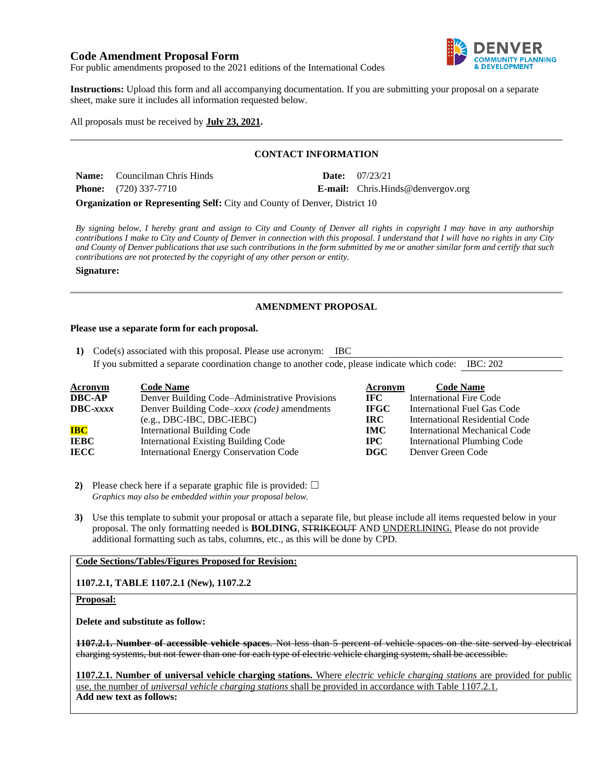# **Code Amendment Proposal Form**



For public amendments proposed to the 2021 editions of the International Codes

**Instructions:** Upload this form and all accompanying documentation. If you are submitting your proposal on a separate sheet, make sure it includes all information requested below.

All proposals must be received by **July 23, 2021.**

## **CONTACT INFORMATION**

| <b>Name:</b> Councilman Chris Hinds | <b>Date:</b> $07/23/21$                  |
|-------------------------------------|------------------------------------------|
| <b>Phone:</b> $(720)$ 337-7710      | <b>E-mail:</b> Chris.Hinds@denvergov.org |

**Organization or Representing Self:** City and County of Denver, District 10

*By signing below, I hereby grant and assign to City and County of Denver all rights in copyright I may have in any authorship contributions I make to City and County of Denver in connection with this proposal. I understand that I will have no rights in any City and County of Denver publications that use such contributions in the form submitted by me or another similar form and certify that such contributions are not protected by the copyright of any other person or entity.* 

**Signature:**

# **AMENDMENT PROPOSAL**

#### **Please use a separate form for each proposal.**

**1)** Code(s) associated with this proposal. Please use acronym: IBC If you submitted a separate coordination change to another code, please indicate which code: IBC: 202

| Acronym           | <b>Code Name</b>                               | Acronym     | <b>Code Name</b>                   |
|-------------------|------------------------------------------------|-------------|------------------------------------|
| <b>DBC-AP</b>     | Denver Building Code–Administrative Provisions | IFC.        | <b>International Fire Code</b>     |
| $\text{DBC}-xxxx$ | Denver Building Code–xxxx (code) amendments    | <b>IFGC</b> | International Fuel Gas Code        |
|                   | $(e.g., DBC-IBC, DBC-IEBC)$                    | IRC.        | International Residential Code     |
| <b>IBC</b>        | <b>International Building Code</b>             | <b>IMC</b>  | International Mechanical Code      |
| IEBC              | <b>International Existing Building Code</b>    | <b>IPC</b>  | <b>International Plumbing Code</b> |
| <b>IECC</b>       | <b>International Energy Conservation Code</b>  | <b>DGC</b>  | Denver Green Code                  |

**2)** Please check here if a separate graphic file is provided:  $\Box$ *Graphics may also be embedded within your proposal below.*

**3)** Use this template to submit your proposal or attach a separate file, but please include all items requested below in your proposal. The only formatting needed is **BOLDING**, STRIKEOUT AND UNDERLINING. Please do not provide additional formatting such as tabs, columns, etc., as this will be done by CPD.

# **Code Sections/Tables/Figures Proposed for Revision:**

## **1107.2.1, TABLE 1107.2.1 (New), 1107.2.2**

#### **Proposal:**

**Delete and substitute as follow:**

**1107.2.1. Number of accessible vehicle spaces**. Not less than 5 percent of vehicle spaces on the site served by electrical charging systems, but not fewer than one for each type of electric vehicle charging system, shall be accessible.

**1107.2.1. Number of universal vehicle charging stations.** Where *electric vehicle charging stations* are provided for public use, the number of *universal vehicle charging stations* shall be provided in accordance with Table 1107.2.1. **Add new text as follows:**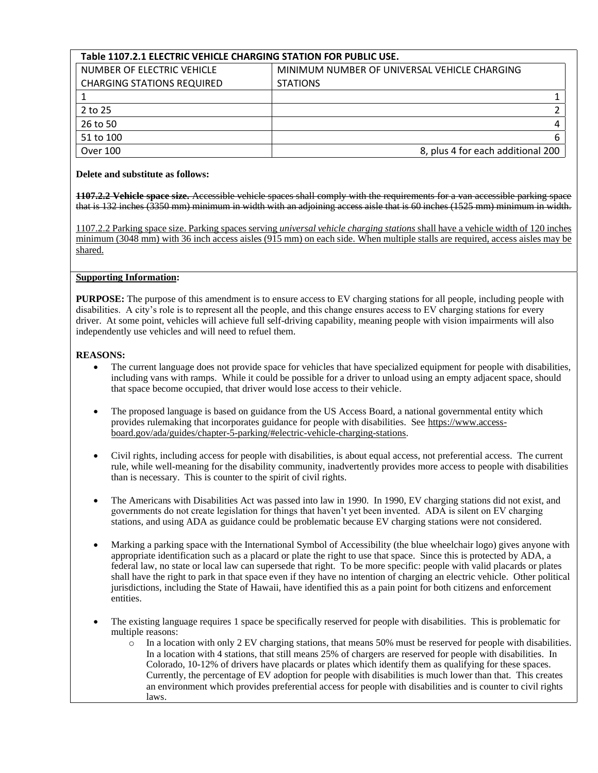# **Table 1107.2.1 ELECTRIC VEHICLE CHARGING STATION FOR PUBLIC USE.**

| NUMBER OF ELECTRIC VEHICLE        | MINIMUM NUMBER OF UNIVERSAL VEHICLE CHARGING |  |  |
|-----------------------------------|----------------------------------------------|--|--|
| <b>CHARGING STATIONS REQUIRED</b> | <b>STATIONS</b>                              |  |  |
|                                   |                                              |  |  |
| 2 to 25                           |                                              |  |  |
| 26 to 50                          |                                              |  |  |
| 51 to 100                         |                                              |  |  |
| Over 100                          | 8, plus 4 for each additional 200            |  |  |

## **Delete and substitute as follows:**

**1107.2.2 Vehicle space size.** Accessible vehicle spaces shall comply with the requirements for a van accessible parking space that is 132 inches (3350 mm) minimum in width with an adjoining access aisle that is 60 inches (1525 mm) minimum in width.

1107.2.2 Parking space size. Parking spaces serving *universal vehicle charging stations* shall have a vehicle width of 120 inches minimum (3048 mm) with 36 inch access aisles (915 mm) on each side. When multiple stalls are required, access aisles may be shared.

# **Supporting Information:**

**PURPOSE:** The purpose of this amendment is to ensure access to EV charging stations for all people, including people with disabilities. A city's role is to represent all the people, and this change ensures access to EV charging stations for every driver. At some point, vehicles will achieve full self-driving capability, meaning people with vision impairments will also independently use vehicles and will need to refuel them.

# **REASONS:**

- The current language does not provide space for vehicles that have specialized equipment for people with disabilities, including vans with ramps. While it could be possible for a driver to unload using an empty adjacent space, should that space become occupied, that driver would lose access to their vehicle.
- The proposed language is based on guidance from the US Access Board, a national governmental entity which provides rulemaking that incorporates guidance for people with disabilities. See [https://www.access](https://www.access-board.gov/ada/guides/chapter-5-parking/#electric-vehicle-charging-stations)[board.gov/ada/guides/chapter-5-parking/#electric-vehicle-charging-stations.](https://www.access-board.gov/ada/guides/chapter-5-parking/#electric-vehicle-charging-stations)
- Civil rights, including access for people with disabilities, is about equal access, not preferential access. The current rule, while well-meaning for the disability community, inadvertently provides more access to people with disabilities than is necessary. This is counter to the spirit of civil rights.
- The Americans with Disabilities Act was passed into law in 1990. In 1990, EV charging stations did not exist, and governments do not create legislation for things that haven't yet been invented. ADA is silent on EV charging stations, and using ADA as guidance could be problematic because EV charging stations were not considered.
- Marking a parking space with the International Symbol of Accessibility (the blue wheelchair logo) gives anyone with appropriate identification such as a placard or plate the right to use that space. Since this is protected by ADA, a federal law, no state or local law can supersede that right. To be more specific: people with valid placards or plates shall have the right to park in that space even if they have no intention of charging an electric vehicle. Other political jurisdictions, including the State of Hawaii, have identified this as a pain point for both citizens and enforcement entities.
- The existing language requires 1 space be specifically reserved for people with disabilities. This is problematic for multiple reasons:
	- o In a location with only 2 EV charging stations, that means 50% must be reserved for people with disabilities. In a location with 4 stations, that still means 25% of chargers are reserved for people with disabilities. In Colorado, 10-12% of drivers have placards or plates which identify them as qualifying for these spaces. Currently, the percentage of EV adoption for people with disabilities is much lower than that. This creates an environment which provides preferential access for people with disabilities and is counter to civil rights laws.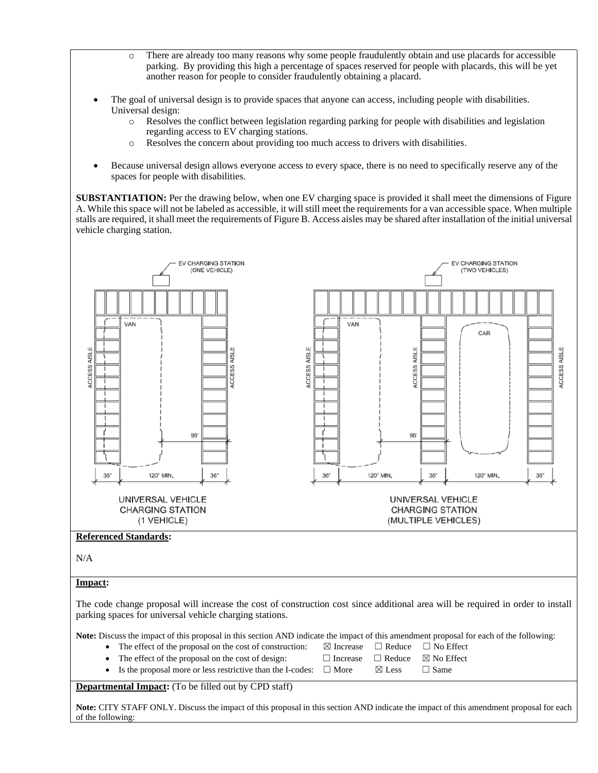- o There are already too many reasons why some people fraudulently obtain and use placards for accessible parking. By providing this high a percentage of spaces reserved for people with placards, this will be yet another reason for people to consider fraudulently obtaining a placard.
- The goal of universal design is to provide spaces that anyone can access, including people with disabilities. Universal design:
	- o Resolves the conflict between legislation regarding parking for people with disabilities and legislation regarding access to EV charging stations.
	- o Resolves the concern about providing too much access to drivers with disabilities.
- Because universal design allows everyone access to every space, there is no need to specifically reserve any of the spaces for people with disabilities.

**SUBSTANTIATION:** Per the drawing below, when one EV charging space is provided it shall meet the dimensions of Figure A. While this space will not be labeled as accessible, it will still meet the requirements for a van accessible space. When multiple stalls are required, it shall meet the requirements of Figure B. Access aisles may be shared after installation of the initial universal vehicle charging station.